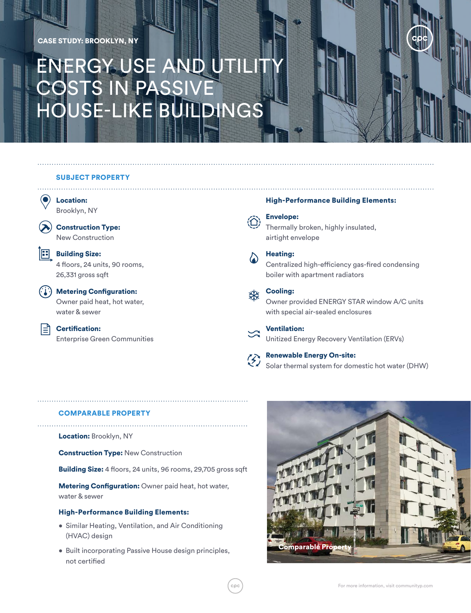## CASE STUDY: BROOKLYN, NY

# ENERGY USE AND UTILIT COSTS IN PASSIVE HOUSE-LIKE BUILDINGS

## SUBJECT PROPERTY



Brooklyn, NY

Construction Type: New Construction



l≡ì

**Building Size:** 4 floors, 24 units, 90 rooms, 26,331 gross sqft

 $\binom{n}{k}$  Metering Configuration: Owner paid heat, hot water, water & sewer

> Certification: Enterprise Green Communities

### High-Performance Building Elements:



Thermally broken, highly insulated,

airtight envelope



## Heating:

Centralized high-efficiency gas-fired condensing boiler with apartment radiators

## Cooling:

Owner provided ENERGY STAR window A/C units with special air-sealed enclosures

Ventilation: Unitized Energy Recovery Ventilation (ERVs)

Renewable Energy On-site: Solar thermal system for domestic hot water (DHW)

## COMPARABLE PROPERTY

Location: Brooklyn, NY

**Construction Type: New Construction** 

Building Size: 4 floors, 24 units, 96 rooms, 29,705 gross sqft

**Metering Configuration: Owner paid heat, hot water,** water & sewer

## High-Performance Building Elements:

- Similar Heating, Ventilation, and Air Conditioning (HVAC) design
- Built incorporating Passive House design principles, not certified

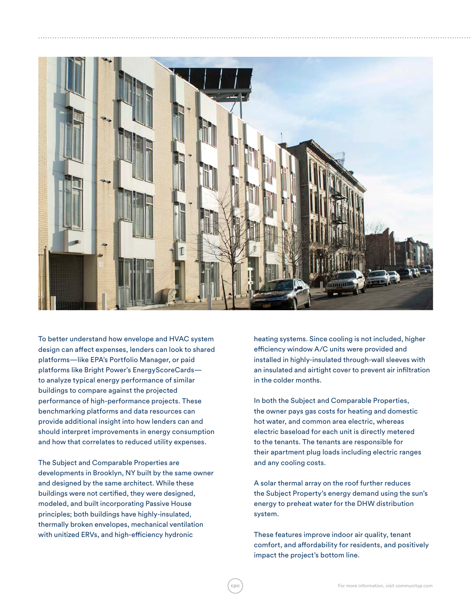

To better understand how envelope and HVAC system design can affect expenses, lenders can look to shared platforms—like EPA's Portfolio Manager, or paid platforms like Bright Power's EnergyScoreCards to analyze typical energy performance of similar buildings to compare against the projected performance of high-performance projects. These benchmarking platforms and data resources can provide additional insight into how lenders can and should interpret improvements in energy consumption and how that correlates to reduced utility expenses.

The Subject and Comparable Properties are developments in Brooklyn, NY built by the same owner and designed by the same architect. While these buildings were not certified, they were designed, modeled, and built incorporating Passive House principles; both buildings have highly-insulated, thermally broken envelopes, mechanical ventilation with unitized ERVs, and high-efficiency hydronic

heating systems. Since cooling is not included, higher efficiency window A/C units were provided and installed in highly-insulated through-wall sleeves with an insulated and airtight cover to prevent air infiltration in the colder months.

In both the Subject and Comparable Properties, the owner pays gas costs for heating and domestic hot water, and common area electric, whereas electric baseload for each unit is directly metered to the tenants. The tenants are responsible for their apartment plug loads including electric ranges and any cooling costs.

A solar thermal array on the roof further reduces the Subject Property's energy demand using the sun's energy to preheat water for the DHW distribution system.

These features improve indoor air quality, tenant comfort, and affordability for residents, and positively impact the project's bottom line.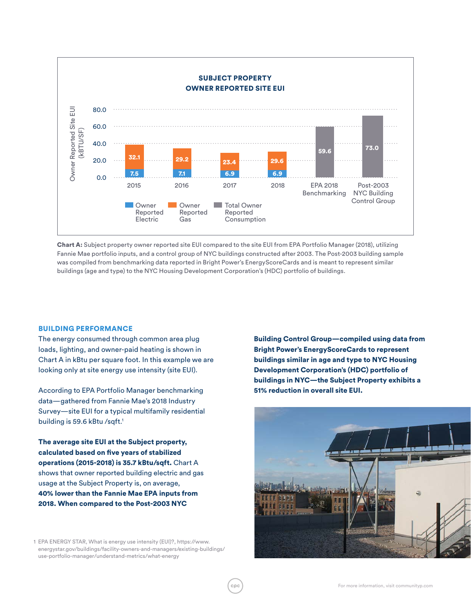

Chart A: Subject property owner reported site EUI compared to the site EUI from EPA Portfolio Manager (2018), utilizing Fannie Mae portfolio inputs, and a control group of NYC buildings constructed after 2003. The Post-2003 building sample was compiled from benchmarking data reported in Bright Power's EnergyScoreCards and is meant to represent similar buildings (age and type) to the NYC Housing Development Corporation's (HDC) portfolio of buildings.

#### BUILDING PERFORMANCE

The energy consumed through common area plug loads, lighting, and owner-paid heating is shown in Chart A in kBtu per square foot. In this example we are looking only at site energy use intensity (site EUI).

According to EPA Portfolio Manager benchmarking data—gathered from Fannie Mae's 2018 Industry Survey—site EUI for a typical multifamily residential building is 59.6 kBtu /sqft.<sup>1</sup>

The average site EUI at the Subject property, calculated based on five years of stabilized operations (2015-2018) is 35.7 kBtu/sqft. Chart A shows that owner reported building electric and gas usage at the Subject Property is, on average, 40% lower than the Fannie Mae EPA inputs from 2018. When compared to the Post-2003 NYC

1 EPA ENERGY STAR, What is energy use intensity (EUI)?, https://www. energystar.gov/buildings/facility-owners-and-managers/existing-buildings/ use-portfolio-manager/understand-metrics/what-energy

Building Control Group—compiled using data from Bright Power's EnergyScoreCards to represent buildings similar in age and type to NYC Housing Development Corporation's (HDC) portfolio of buildings in NYC—the Subject Property exhibits a 51% reduction in overall site EUI.